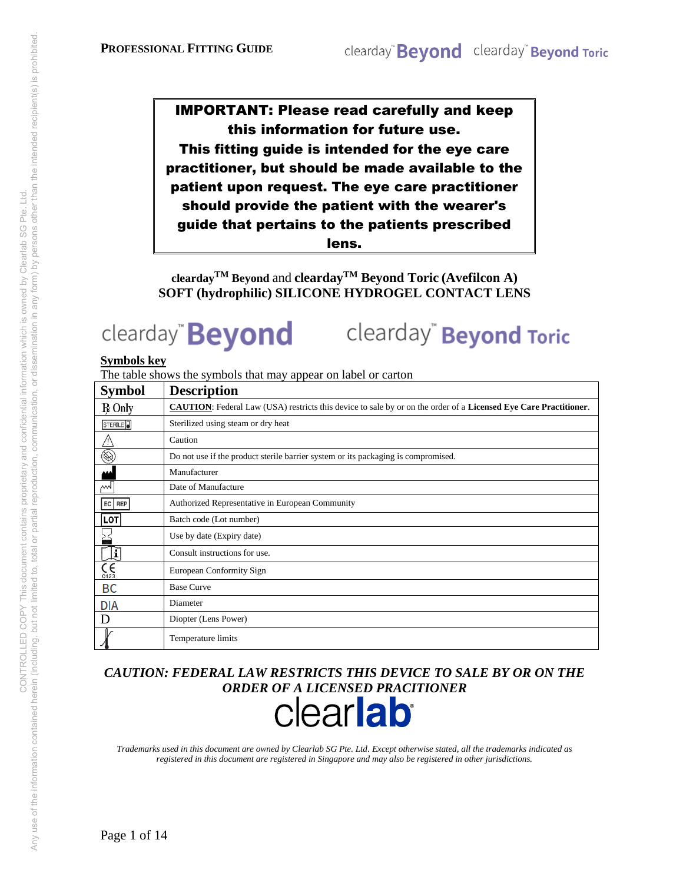IMPORTANT: Please read carefully and keep this information for future use. This fitting guide is intended for the eye care practitioner, but should be made available to the patient upon request. The eye care practitioner should provide the patient with the wearer's guide that pertains to the patients prescribed lens.

**clearday**<sup>TM</sup> Beyond and **clearday**<sup>TM</sup> Beyond Toric (Avefilcon A) **SOFT (hydrophilic) SILICONE HYDROGEL CONTACT LENS** 

# clearday" **Beyond**

clearday<sup>"</sup> **Beyond Toric** 

#### **Symbols key**

The table shows the symbols that may appear on label or carton

| <b>Symbol</b>              | <b>Description</b>                                                                                                              |
|----------------------------|---------------------------------------------------------------------------------------------------------------------------------|
| $R$ Only                   | <b>CAUTION:</b> Federal Law (USA) restricts this device to sale by or on the order of a <b>Licensed Eye Care Practitioner</b> . |
| STERILE <sup>1</sup>       | Sterilized using steam or dry heat                                                                                              |
|                            | Caution                                                                                                                         |
| $\circledR$                | Do not use if the product sterile barrier system or its packaging is compromised.                                               |
|                            | Manufacturer                                                                                                                    |
| мl                         | Date of Manufacture                                                                                                             |
| EC   REP                   | Authorized Representative in European Community                                                                                 |
| LOT                        | Batch code (Lot number)                                                                                                         |
|                            | Use by date (Expiry date)                                                                                                       |
| Ŀ                          | Consult instructions for use.                                                                                                   |
| $\overline{\zeta}$<br>0123 | European Conformity Sign                                                                                                        |
| BC                         | <b>Base Curve</b>                                                                                                               |
| <b>DIA</b>                 | Diameter                                                                                                                        |
| I)                         | Diopter (Lens Power)                                                                                                            |
|                            | Temperature limits                                                                                                              |

*CAUTION: FEDERAL LAW RESTRICTS THIS DEVICE TO SALE BY OR ON THE ORDER OF A LICENSED PRACITIONER*



*Trademarks used in this document are owned by Clearlab SG Pte. Ltd. Except otherwise stated, all the trademarks indicated as registered in this document are registered in Singapore and may also be registered in other jurisdictions.*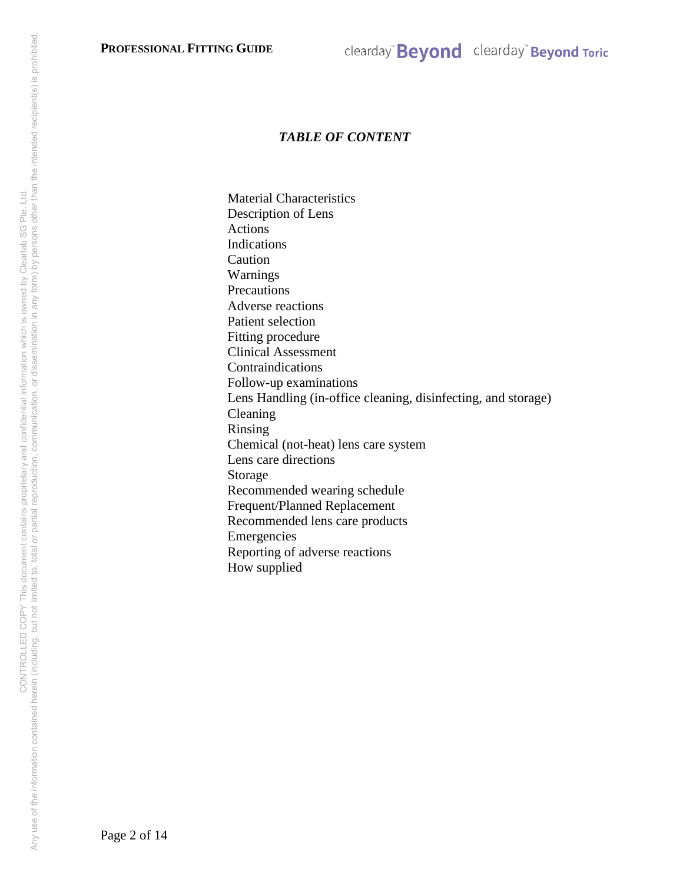# *TABLE OF CONTENT*

Material Characteristics Description of Lens Actions Indications Caution Warnings Precautions Adverse reactions Patient selection Fitting procedure Clinical Assessment Contraindications Follow-up examinations Lens Handling (in-office cleaning, disinfecting, and storage) Cleaning Rinsing Chemical (not-heat) lens care system Lens care directions Storage Recommended wearing schedule Frequent/Planned Replacement Recommended lens care products Emergencies Reporting of adverse reactions How supplied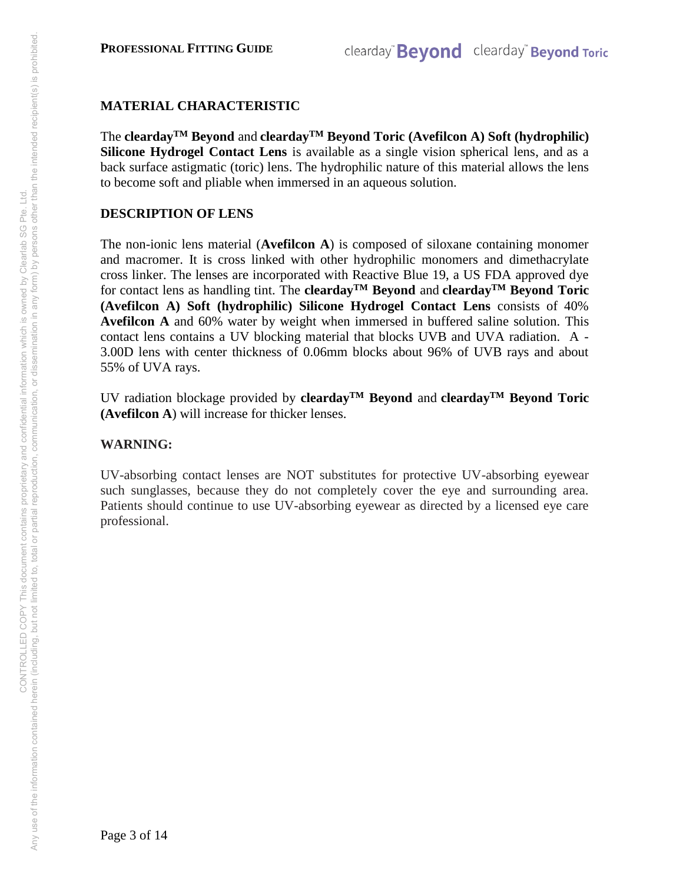## **MATERIAL CHARACTERISTIC**

The **cleardayTM Beyond** and **cleardayTM Beyond Toric (Avefilcon A) Soft (hydrophilic) Silicone Hydrogel Contact Lens** is available as a single vision spherical lens, and as a back surface astigmatic (toric) lens. The hydrophilic nature of this material allows the lens to become soft and pliable when immersed in an aqueous solution.

## **DESCRIPTION OF LENS**

The non-ionic lens material (**Avefilcon A**) is composed of siloxane containing monomer and macromer. It is cross linked with other hydrophilic monomers and dimethacrylate cross linker. The lenses are incorporated with Reactive Blue 19, a US FDA approved dye for contact lens as handling tint. The **cleardayTM Beyond** and **cleardayTM Beyond Toric (Avefilcon A) Soft (hydrophilic) Silicone Hydrogel Contact Lens** consists of 40% **Avefilcon A** and 60% water by weight when immersed in buffered saline solution. This contact lens contains a UV blocking material that blocks UVB and UVA radiation. A - 3.00D lens with center thickness of 0.06mm blocks about 96% of UVB rays and about 55% of UVA rays.

UV radiation blockage provided by **cleardayTM Beyond** and **cleardayTM Beyond Toric (Avefilcon A**) will increase for thicker lenses.

## **WARNING:**

UV-absorbing contact lenses are NOT substitutes for protective UV-absorbing eyewear such sunglasses, because they do not completely cover the eye and surrounding area. Patients should continue to use UV-absorbing eyewear as directed by a licensed eye care professional.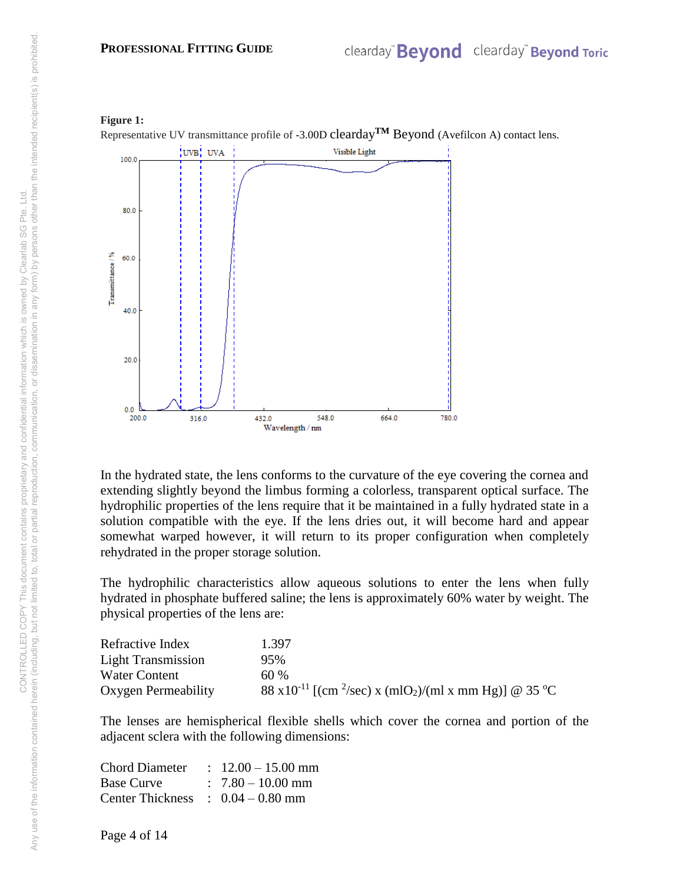

In the hydrated state, the lens conforms to the curvature of the eye covering the cornea and extending slightly beyond the limbus forming a colorless, transparent optical surface. The hydrophilic properties of the lens require that it be maintained in a fully hydrated state in a solution compatible with the eye. If the lens dries out, it will become hard and appear somewhat warped however, it will return to its proper configuration when completely rehydrated in the proper storage solution.

The hydrophilic characteristics allow aqueous solutions to enter the lens when fully hydrated in phosphate buffered saline; the lens is approximately 60% water by weight. The physical properties of the lens are:

| Refractive Index          | 1.397                                                                                     |
|---------------------------|-------------------------------------------------------------------------------------------|
| <b>Light Transmission</b> | 95%                                                                                       |
| Water Content             | 60%                                                                                       |
| Oxygen Permeability       | 88 x10 <sup>-11</sup> [(cm <sup>2</sup> /sec) x (mlO <sub>2</sub> )/(ml x mm Hg)] @ 35 °C |

The lenses are hemispherical flexible shells which cover the cornea and portion of the adjacent sclera with the following dimensions:

| <b>Chord Diameter</b>   | $\therefore$ 12.00 - 15.00 mm |
|-------------------------|-------------------------------|
| <b>Base Curve</b>       | $: 7.80 - 10.00$ mm           |
| <b>Center Thickness</b> | $\therefore$ 0.04 – 0.80 mm   |

Page 4 of 14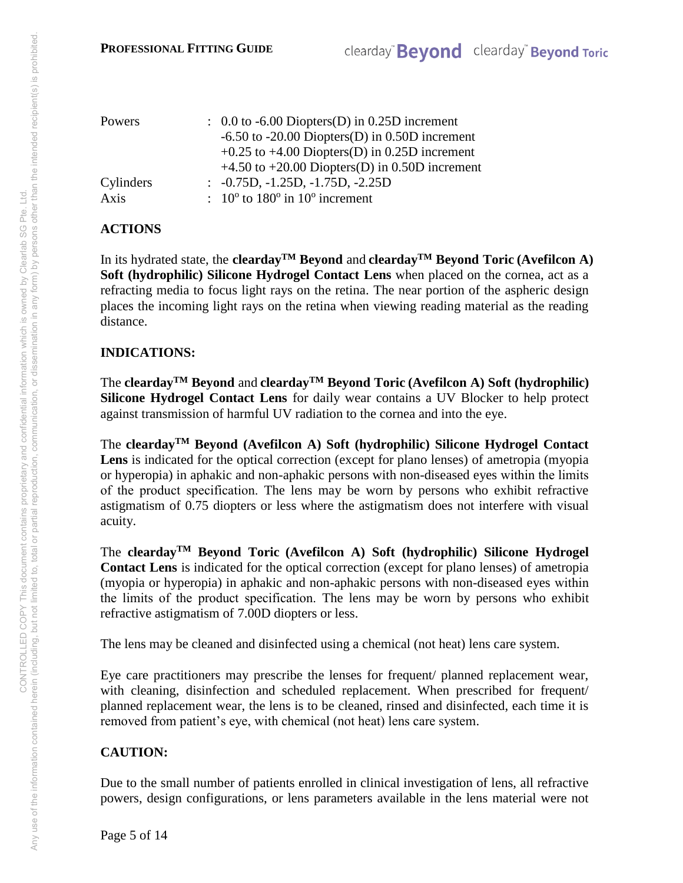| Powers    |  | $\therefore$ 0.0 to -6.00 Diopters(D) in 0.25D increment                      |  |  |
|-----------|--|-------------------------------------------------------------------------------|--|--|
|           |  | $-6.50$ to $-20.00$ Diopters(D) in 0.50D increment                            |  |  |
|           |  | $+0.25$ to $+4.00$ Diopters(D) in 0.25D increment                             |  |  |
|           |  | $+4.50$ to $+20.00$ Diopters(D) in 0.50D increment                            |  |  |
| Cylinders |  | $\therefore$ -0.75D, -1.25D, -1.75D, -2.25D                                   |  |  |
| Axis      |  | $\therefore$ 10 <sup>o</sup> to 180 <sup>o</sup> in 10 <sup>o</sup> increment |  |  |

# **ACTIONS**

In its hydrated state, the **cleardayTM Beyond** and **cleardayTM Beyond Toric (Avefilcon A) Soft (hydrophilic) Silicone Hydrogel Contact Lens** when placed on the cornea, act as a refracting media to focus light rays on the retina. The near portion of the aspheric design places the incoming light rays on the retina when viewing reading material as the reading distance.

# **INDICATIONS:**

The **cleardayTM Beyond** and **cleardayTM Beyond Toric (Avefilcon A) Soft (hydrophilic) Silicone Hydrogel Contact Lens** for daily wear contains a UV Blocker to help protect against transmission of harmful UV radiation to the cornea and into the eye.

The **cleardayTM Beyond (Avefilcon A) Soft (hydrophilic) Silicone Hydrogel Contact Lens** is indicated for the optical correction (except for plano lenses) of ametropia (myopia or hyperopia) in aphakic and non-aphakic persons with non-diseased eyes within the limits of the product specification. The lens may be worn by persons who exhibit refractive astigmatism of 0.75 diopters or less where the astigmatism does not interfere with visual acuity.

The **cleardayTM Beyond Toric (Avefilcon A) Soft (hydrophilic) Silicone Hydrogel Contact Lens** is indicated for the optical correction (except for plano lenses) of ametropia (myopia or hyperopia) in aphakic and non-aphakic persons with non-diseased eyes within the limits of the product specification. The lens may be worn by persons who exhibit refractive astigmatism of 7.00D diopters or less.

The lens may be cleaned and disinfected using a chemical (not heat) lens care system.

Eye care practitioners may prescribe the lenses for frequent/ planned replacement wear, with cleaning, disinfection and scheduled replacement. When prescribed for frequent/ planned replacement wear, the lens is to be cleaned, rinsed and disinfected, each time it is removed from patient's eye, with chemical (not heat) lens care system.

# **CAUTION:**

Due to the small number of patients enrolled in clinical investigation of lens, all refractive powers, design configurations, or lens parameters available in the lens material were not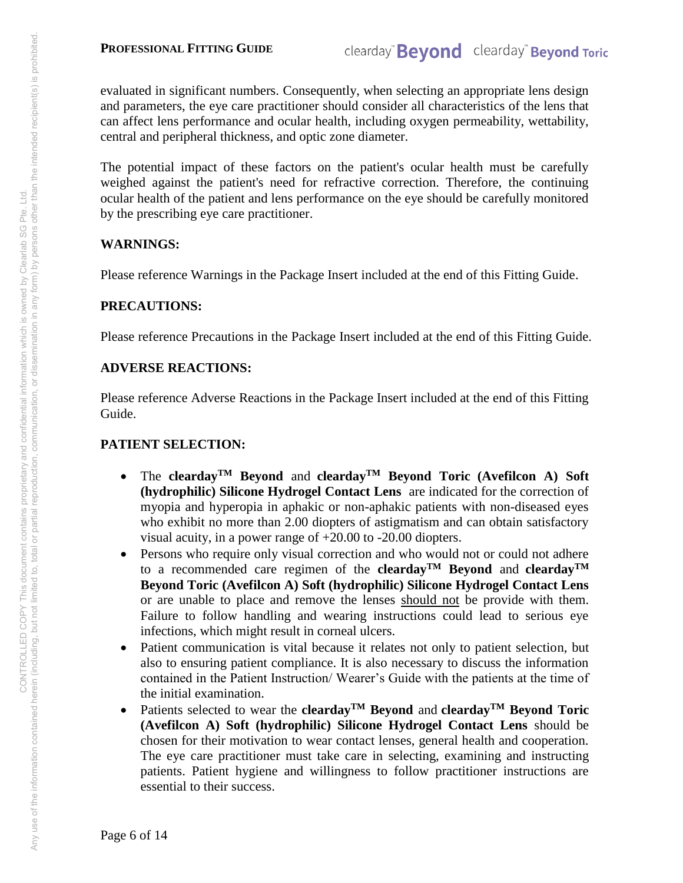evaluated in significant numbers. Consequently, when selecting an appropriate lens design and parameters, the eye care practitioner should consider all characteristics of the lens that can affect lens performance and ocular health, including oxygen permeability, wettability, central and peripheral thickness, and optic zone diameter.

The potential impact of these factors on the patient's ocular health must be carefully weighed against the patient's need for refractive correction. Therefore, the continuing ocular health of the patient and lens performance on the eye should be carefully monitored by the prescribing eye care practitioner.

## **WARNINGS:**

Please reference Warnings in the Package Insert included at the end of this Fitting Guide.

## **PRECAUTIONS:**

Please reference Precautions in the Package Insert included at the end of this Fitting Guide.

## **ADVERSE REACTIONS:**

Please reference Adverse Reactions in the Package Insert included at the end of this Fitting Guide.

# **PATIENT SELECTION:**

- The **cleardayTM Beyond** and **cleardayTM Beyond Toric (Avefilcon A) Soft (hydrophilic) Silicone Hydrogel Contact Lens** are indicated for the correction of myopia and hyperopia in aphakic or non-aphakic patients with non-diseased eyes who exhibit no more than 2.00 diopters of astigmatism and can obtain satisfactory visual acuity, in a power range of +20.00 to -20.00 diopters.
- Persons who require only visual correction and who would not or could not adhere to a recommended care regimen of the **cleardayTM Beyond** and **cleardayTM Beyond Toric (Avefilcon A) Soft (hydrophilic) Silicone Hydrogel Contact Lens**  or are unable to place and remove the lenses should not be provide with them. Failure to follow handling and wearing instructions could lead to serious eye infections, which might result in corneal ulcers.
- Patient communication is vital because it relates not only to patient selection, but also to ensuring patient compliance. It is also necessary to discuss the information contained in the Patient Instruction/ Wearer's Guide with the patients at the time of the initial examination.
- Patients selected to wear the **cleardayTM Beyond** and **cleardayTM Beyond Toric (Avefilcon A) Soft (hydrophilic) Silicone Hydrogel Contact Lens** should be chosen for their motivation to wear contact lenses, general health and cooperation. The eye care practitioner must take care in selecting, examining and instructing patients. Patient hygiene and willingness to follow practitioner instructions are essential to their success.

Page 6 of 14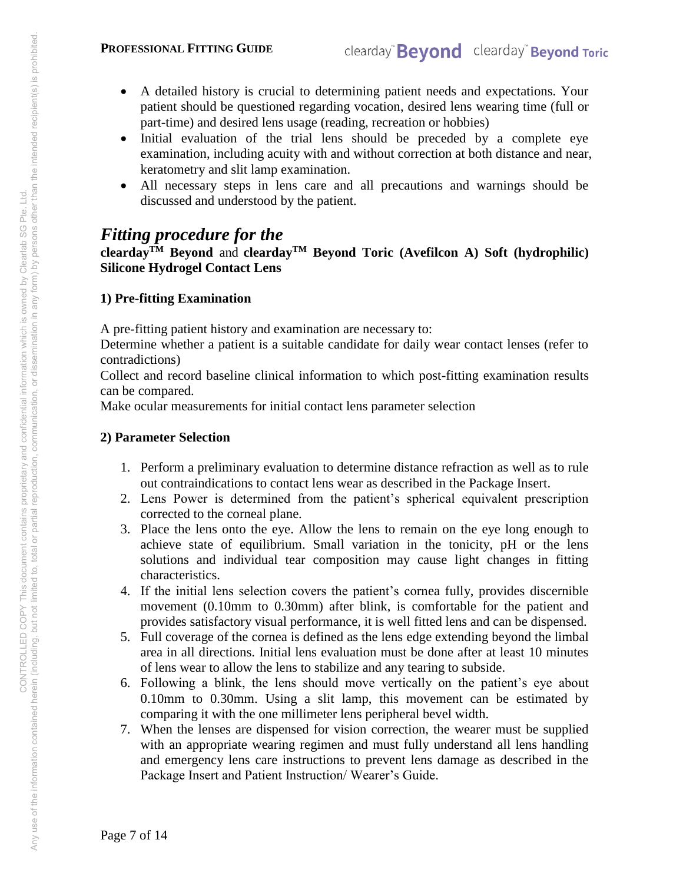#### **PROFESSIONAL FITTING GUIDE**

- A detailed history is crucial to determining patient needs and expectations. Your patient should be questioned regarding vocation, desired lens wearing time (full or part-time) and desired lens usage (reading, recreation or hobbies)
- Initial evaluation of the trial lens should be preceded by a complete eye examination, including acuity with and without correction at both distance and near, keratometry and slit lamp examination.
- All necessary steps in lens care and all precautions and warnings should be discussed and understood by the patient.

# *Fitting procedure for the*

**clearday**<sup>TM</sup> Beyond and **clearday**<sup>TM</sup> Beyond Toric (Avefilcon A) Soft (hydrophilic) **Silicone Hydrogel Contact Lens** 

# **1) Pre-fitting Examination**

A pre-fitting patient history and examination are necessary to:

Determine whether a patient is a suitable candidate for daily wear contact lenses (refer to contradictions)

Collect and record baseline clinical information to which post-fitting examination results can be compared.

Make ocular measurements for initial contact lens parameter selection

# **2) Parameter Selection**

- 1. Perform a preliminary evaluation to determine distance refraction as well as to rule out contraindications to contact lens wear as described in the Package Insert.
- 2. Lens Power is determined from the patient's spherical equivalent prescription corrected to the corneal plane.
- 3. Place the lens onto the eye. Allow the lens to remain on the eye long enough to achieve state of equilibrium. Small variation in the tonicity, pH or the lens solutions and individual tear composition may cause light changes in fitting characteristics.
- 4. If the initial lens selection covers the patient's cornea fully, provides discernible movement (0.10mm to 0.30mm) after blink, is comfortable for the patient and provides satisfactory visual performance, it is well fitted lens and can be dispensed.
- 5. Full coverage of the cornea is defined as the lens edge extending beyond the limbal area in all directions. Initial lens evaluation must be done after at least 10 minutes of lens wear to allow the lens to stabilize and any tearing to subside.
- 6. Following a blink, the lens should move vertically on the patient's eye about 0.10mm to 0.30mm. Using a slit lamp, this movement can be estimated by comparing it with the one millimeter lens peripheral bevel width.
- 7. When the lenses are dispensed for vision correction, the wearer must be supplied with an appropriate wearing regimen and must fully understand all lens handling and emergency lens care instructions to prevent lens damage as described in the Package Insert and Patient Instruction/ Wearer's Guide.

Page 7 of 14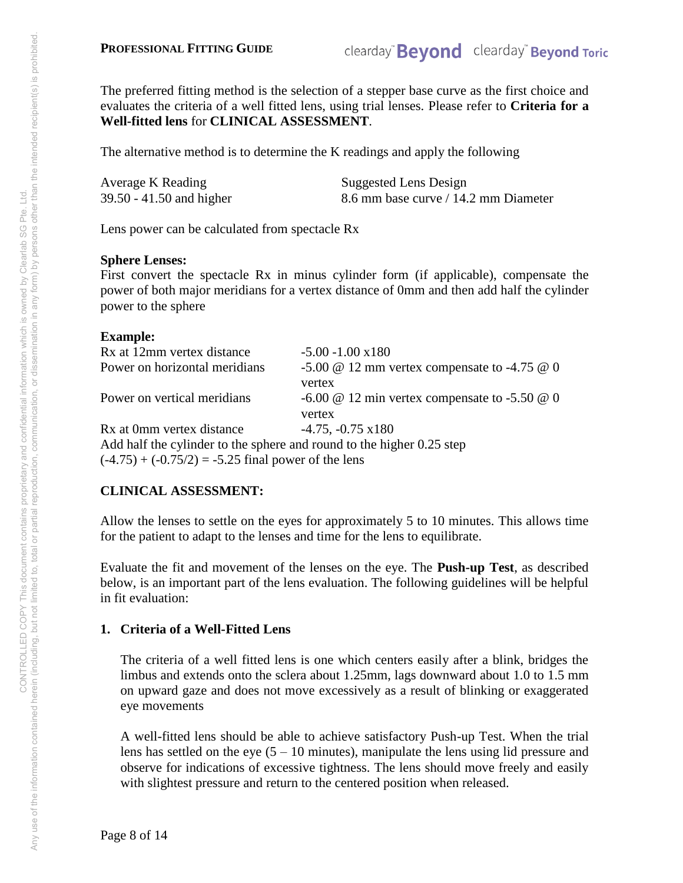The preferred fitting method is the selection of a stepper base curve as the first choice and evaluates the criteria of a well fitted lens, using trial lenses. Please refer to **Criteria for a Well-fitted lens** for **CLINICAL ASSESSMENT**.

The alternative method is to determine the K readings and apply the following

| Average K Reading        | Suggested Lens Design                |
|--------------------------|--------------------------------------|
| 39.50 - 41.50 and higher | 8.6 mm base curve / 14.2 mm Diameter |

Lens power can be calculated from spectacle Rx

## **Sphere Lenses:**

First convert the spectacle Rx in minus cylinder form (if applicable), compensate the power of both major meridians for a vertex distance of 0mm and then add half the cylinder power to the sphere

#### **Example:**

| Rx at 12mm vertex distance                                            | $-5.00 - 1.00 \times 180$                                   |  |  |  |
|-----------------------------------------------------------------------|-------------------------------------------------------------|--|--|--|
| Power on horizontal meridians                                         | $-5.00 \& 12 \text{ mm}$ vertex compensate to $-4.75 \& 0$  |  |  |  |
|                                                                       | vertex                                                      |  |  |  |
| Power on vertical meridians                                           | $-6.00 \& 12 \text{ min}$ vertex compensate to $-5.50 \& 0$ |  |  |  |
|                                                                       | vertex                                                      |  |  |  |
| Rx at 0mm vertex distance                                             | $-4.75, -0.75 \times 180$                                   |  |  |  |
| Add half the cylinder to the sphere and round to the higher 0.25 step |                                                             |  |  |  |
| $(-4.75) + (-0.75/2) = -5.25$ final power of the lens                 |                                                             |  |  |  |
|                                                                       |                                                             |  |  |  |

# **CLINICAL ASSESSMENT:**

Allow the lenses to settle on the eyes for approximately 5 to 10 minutes. This allows time for the patient to adapt to the lenses and time for the lens to equilibrate.

Evaluate the fit and movement of the lenses on the eye. The **Push-up Test**, as described below, is an important part of the lens evaluation. The following guidelines will be helpful in fit evaluation:

# **1. Criteria of a Well-Fitted Lens**

The criteria of a well fitted lens is one which centers easily after a blink, bridges the limbus and extends onto the sclera about 1.25mm, lags downward about 1.0 to 1.5 mm on upward gaze and does not move excessively as a result of blinking or exaggerated eye movements

A well-fitted lens should be able to achieve satisfactory Push-up Test. When the trial lens has settled on the eye  $(5 - 10 \text{ minutes})$ , manipulate the lens using lid pressure and observe for indications of excessive tightness. The lens should move freely and easily with slightest pressure and return to the centered position when released.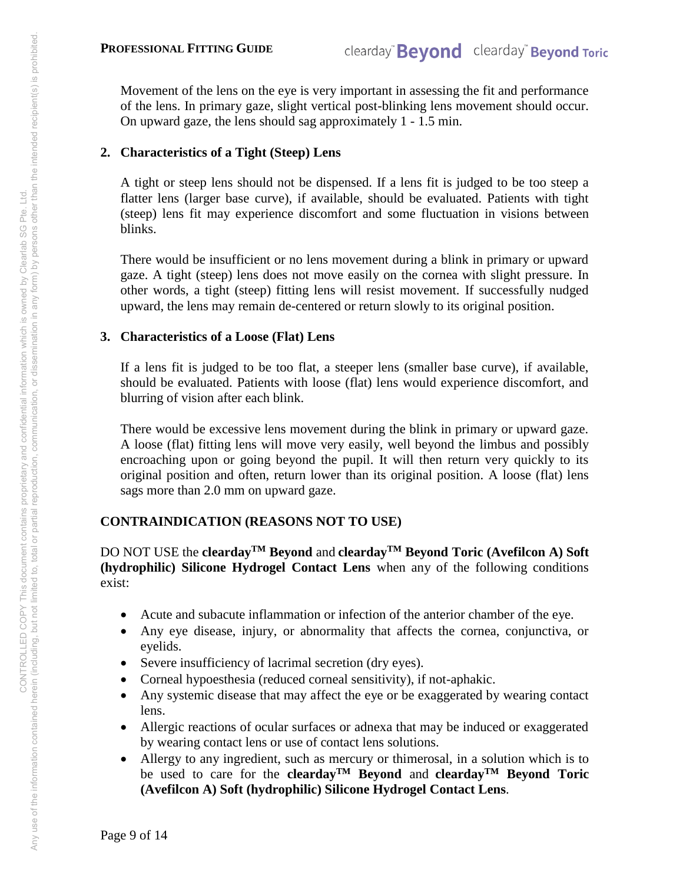Movement of the lens on the eye is very important in assessing the fit and performance of the lens. In primary gaze, slight vertical post-blinking lens movement should occur. On upward gaze, the lens should sag approximately 1 - 1.5 min.

# **2. Characteristics of a Tight (Steep) Lens**

A tight or steep lens should not be dispensed. If a lens fit is judged to be too steep a flatter lens (larger base curve), if available, should be evaluated. Patients with tight (steep) lens fit may experience discomfort and some fluctuation in visions between blinks.

There would be insufficient or no lens movement during a blink in primary or upward gaze. A tight (steep) lens does not move easily on the cornea with slight pressure. In other words, a tight (steep) fitting lens will resist movement. If successfully nudged upward, the lens may remain de-centered or return slowly to its original position.

# **3. Characteristics of a Loose (Flat) Lens**

If a lens fit is judged to be too flat, a steeper lens (smaller base curve), if available, should be evaluated. Patients with loose (flat) lens would experience discomfort, and blurring of vision after each blink.

There would be excessive lens movement during the blink in primary or upward gaze. A loose (flat) fitting lens will move very easily, well beyond the limbus and possibly encroaching upon or going beyond the pupil. It will then return very quickly to its original position and often, return lower than its original position. A loose (flat) lens sags more than 2.0 mm on upward gaze.

# **CONTRAINDICATION (REASONS NOT TO USE)**

DO NOT USE the **cleardayTM Beyond** and **cleardayTM Beyond Toric (Avefilcon A) Soft (hydrophilic) Silicone Hydrogel Contact Lens** when any of the following conditions exist:

- Acute and subacute inflammation or infection of the anterior chamber of the eye.
- Any eye disease, injury, or abnormality that affects the cornea, conjunctiva, or eyelids.
- Severe insufficiency of lacrimal secretion (dry eyes).
- Corneal hypoesthesia (reduced corneal sensitivity), if not-aphakic.
- Any systemic disease that may affect the eye or be exaggerated by wearing contact lens.
- Allergic reactions of ocular surfaces or adnexa that may be induced or exaggerated by wearing contact lens or use of contact lens solutions.
- Allergy to any ingredient, such as mercury or thimerosal, in a solution which is to be used to care for the **cleardayTM Beyond** and **cleardayTM Beyond Toric (Avefilcon A) Soft (hydrophilic) Silicone Hydrogel Contact Lens**.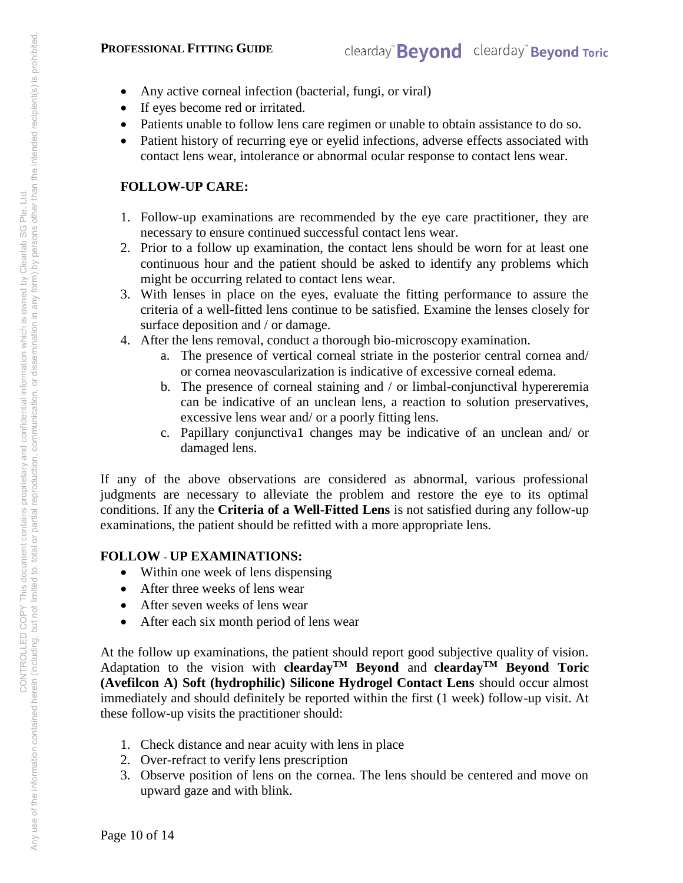#### **PROFESSIONAL FITTING GUIDE**

- Any active corneal infection (bacterial, fungi, or viral)
- If eyes become red or irritated.
- Patients unable to follow lens care regimen or unable to obtain assistance to do so.
- Patient history of recurring eye or eyelid infections, adverse effects associated with contact lens wear, intolerance or abnormal ocular response to contact lens wear.

# **FOLLOW-UP CARE:**

- 1. Follow-up examinations are recommended by the eye care practitioner, they are necessary to ensure continued successful contact lens wear.
- 2. Prior to a follow up examination, the contact lens should be worn for at least one continuous hour and the patient should be asked to identify any problems which might be occurring related to contact lens wear.
- 3. With lenses in place on the eyes, evaluate the fitting performance to assure the criteria of a well-fitted lens continue to be satisfied. Examine the lenses closely for surface deposition and / or damage.
- 4. After the lens removal, conduct a thorough bio-microscopy examination.
	- a. The presence of vertical corneal striate in the posterior central cornea and/ or cornea neovascularization is indicative of excessive corneal edema.
	- b. The presence of corneal staining and / or limbal-conjunctival hypereremia can be indicative of an unclean lens, a reaction to solution preservatives, excessive lens wear and/ or a poorly fitting lens.
	- c. Papillary conjunctiva1 changes may be indicative of an unclean and/ or damaged lens.

If any of the above observations are considered as abnormal, various professional judgments are necessary to alleviate the problem and restore the eye to its optimal conditions. If any the **Criteria of a Well-Fitted Lens** is not satisfied during any follow-up examinations, the patient should be refitted with a more appropriate lens.

# **FOLLOW** - **UP EXAMINATIONS:**

- Within one week of lens dispensing
- After three weeks of lens wear
- After seven weeks of lens wear
- After each six month period of lens wear

At the follow up examinations, the patient should report good subjective quality of vision. Adaptation to the vision with **clearday**<sup>TM</sup> Beyond and **clearday**<sup>TM</sup> Beyond Toric **(Avefilcon A) Soft (hydrophilic) Silicone Hydrogel Contact Lens** should occur almost immediately and should definitely be reported within the first (1 week) follow-up visit. At these follow-up visits the practitioner should:

- 1. Check distance and near acuity with lens in place
- 2. Over-refract to verify lens prescription
- 3. Observe position of lens on the cornea. The lens should be centered and move on upward gaze and with blink.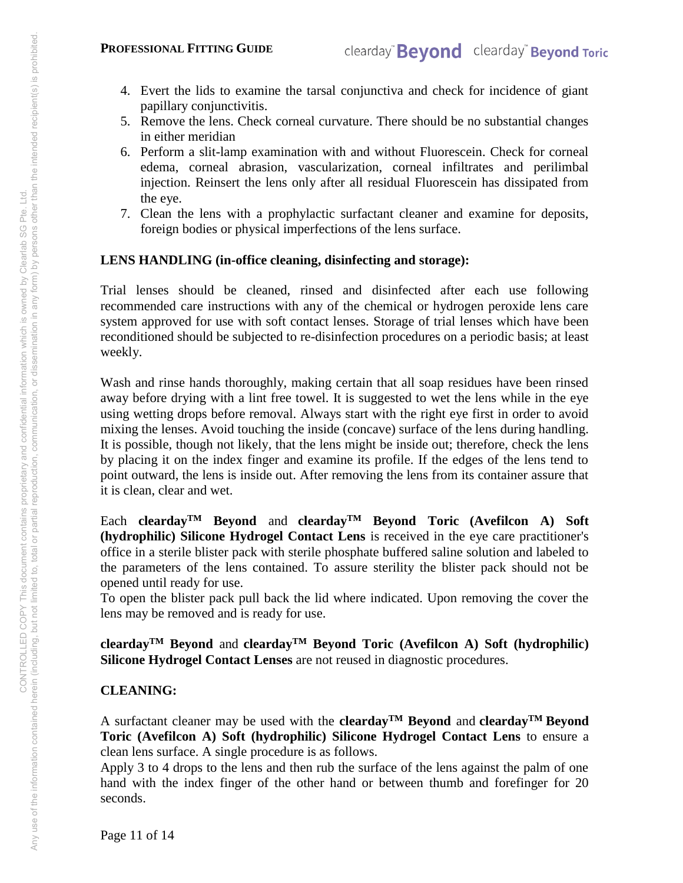- 4. Evert the lids to examine the tarsal conjunctiva and check for incidence of giant papillary conjunctivitis.
- 5. Remove the lens. Check corneal curvature. There should be no substantial changes in either meridian
- 6. Perform a slit-lamp examination with and without Fluorescein. Check for corneal edema, corneal abrasion, vascularization, corneal infiltrates and perilimbal injection. Reinsert the lens only after all residual Fluorescein has dissipated from the eye.
- 7. Clean the lens with a prophylactic surfactant cleaner and examine for deposits, foreign bodies or physical imperfections of the lens surface.

## **LENS HANDLING (in-office cleaning, disinfecting and storage):**

Trial lenses should be cleaned, rinsed and disinfected after each use following recommended care instructions with any of the chemical or hydrogen peroxide lens care system approved for use with soft contact lenses. Storage of trial lenses which have been reconditioned should be subjected to re-disinfection procedures on a periodic basis; at least weekly.

Wash and rinse hands thoroughly, making certain that all soap residues have been rinsed away before drying with a lint free towel. It is suggested to wet the lens while in the eye using wetting drops before removal. Always start with the right eye first in order to avoid mixing the lenses. Avoid touching the inside (concave) surface of the lens during handling. It is possible, though not likely, that the lens might be inside out; therefore, check the lens by placing it on the index finger and examine its profile. If the edges of the lens tend to point outward, the lens is inside out. After removing the lens from its container assure that it is clean, clear and wet.

Each **cleardayTM Beyond** and **cleardayTM Beyond Toric (Avefilcon A) Soft (hydrophilic) Silicone Hydrogel Contact Lens** is received in the eye care practitioner's office in a sterile blister pack with sterile phosphate buffered saline solution and labeled to the parameters of the lens contained. To assure sterility the blister pack should not be opened until ready for use.

To open the blister pack pull back the lid where indicated. Upon removing the cover the lens may be removed and is ready for use.

**clearday**<sup>TM</sup> **Beyond** and **clearday**<sup>TM</sup> **Beyond Toric (Avefilcon A) Soft (hydrophilic) Silicone Hydrogel Contact Lenses** are not reused in diagnostic procedures.

# **CLEANING:**

A surfactant cleaner may be used with the **cleardayTM Beyond** and **cleardayTM Beyond Toric (Avefilcon A) Soft (hydrophilic) Silicone Hydrogel Contact Lens** to ensure a clean lens surface. A single procedure is as follows.

Apply 3 to 4 drops to the lens and then rub the surface of the lens against the palm of one hand with the index finger of the other hand or between thumb and forefinger for 20 seconds.

Page 11 of 14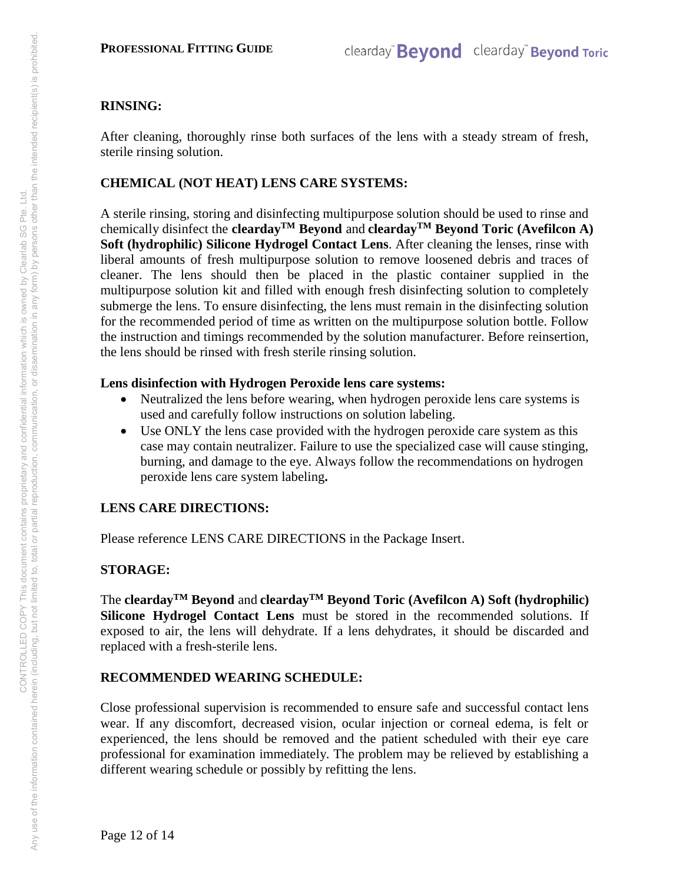# **RINSING:**

After cleaning, thoroughly rinse both surfaces of the lens with a steady stream of fresh, sterile rinsing solution.

# **CHEMICAL (NOT HEAT) LENS CARE SYSTEMS:**

A sterile rinsing, storing and disinfecting multipurpose solution should be used to rinse and chemically disinfect the **cleardayTM Beyond** and **cleardayTM Beyond Toric (Avefilcon A) Soft (hydrophilic) Silicone Hydrogel Contact Lens**. After cleaning the lenses, rinse with liberal amounts of fresh multipurpose solution to remove loosened debris and traces of cleaner. The lens should then be placed in the plastic container supplied in the multipurpose solution kit and filled with enough fresh disinfecting solution to completely submerge the lens. To ensure disinfecting, the lens must remain in the disinfecting solution for the recommended period of time as written on the multipurpose solution bottle. Follow the instruction and timings recommended by the solution manufacturer. Before reinsertion, the lens should be rinsed with fresh sterile rinsing solution.

# **Lens disinfection with Hydrogen Peroxide lens care systems:**

- Neutralized the lens before wearing, when hydrogen peroxide lens care systems is used and carefully follow instructions on solution labeling.
- Use ONLY the lens case provided with the hydrogen peroxide care system as this case may contain neutralizer. Failure to use the specialized case will cause stinging, burning, and damage to the eye. Always follow the recommendations on hydrogen peroxide lens care system labeling**.**

# **LENS CARE DIRECTIONS:**

Please reference LENS CARE DIRECTIONS in the Package Insert.

# **STORAGE:**

The **cleardayTM Beyond** and **cleardayTM Beyond Toric (Avefilcon A) Soft (hydrophilic) Silicone Hydrogel Contact Lens** must be stored in the recommended solutions. If exposed to air, the lens will dehydrate. If a lens dehydrates, it should be discarded and replaced with a fresh-sterile lens.

# **RECOMMENDED WEARING SCHEDULE:**

Close professional supervision is recommended to ensure safe and successful contact lens wear. If any discomfort, decreased vision, ocular injection or corneal edema, is felt or experienced, the lens should be removed and the patient scheduled with their eye care professional for examination immediately. The problem may be relieved by establishing a different wearing schedule or possibly by refitting the lens.

Page 12 of 14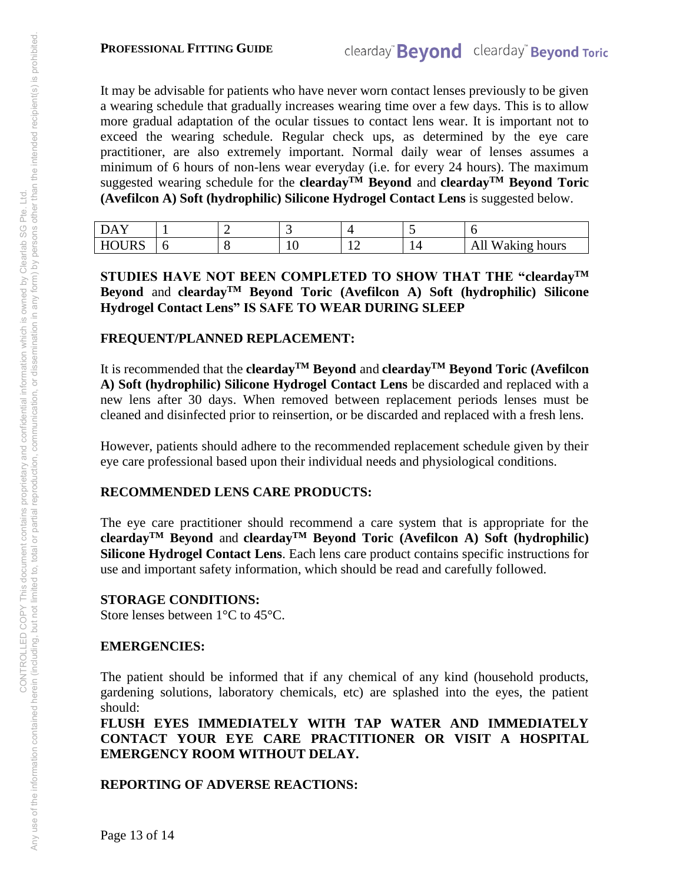#### **PROFESSIONAL FITTING GUIDE**

It may be advisable for patients who have never worn contact lenses previously to be given a wearing schedule that gradually increases wearing time over a few days. This is to allow more gradual adaptation of the ocular tissues to contact lens wear. It is important not to exceed the wearing schedule. Regular check ups, as determined by the eye care practitioner, are also extremely important. Normal daily wear of lenses assumes a minimum of 6 hours of non-lens wear everyday (i.e. for every 24 hours). The maximum suggested wearing schedule for the **cleardayTM Beyond** and **cleardayTM Beyond Toric (Avefilcon A) Soft (hydrophilic) Silicone Hydrogel Contact Lens** is suggested below.

| Δ                                |   |    |    |                     |
|----------------------------------|---|----|----|---------------------|
| <b>URS</b><br>$T$ $T$<br>м<br>HΙ | ◡ | ΙV | -- | All<br>Waking hours |

**STUDIES HAVE NOT BEEN COMPLETED TO SHOW THAT THE "cleardayTM Beyond** and **cleardayTM Beyond Toric (Avefilcon A) Soft (hydrophilic) Silicone Hydrogel Contact Lens" IS SAFE TO WEAR DURING SLEEP** 

## **FREQUENT/PLANNED REPLACEMENT:**

It is recommended that the **cleardayTM Beyond** and **cleardayTM Beyond Toric (Avefilcon A) Soft (hydrophilic) Silicone Hydrogel Contact Lens** be discarded and replaced with a new lens after 30 days. When removed between replacement periods lenses must be cleaned and disinfected prior to reinsertion, or be discarded and replaced with a fresh lens.

However, patients should adhere to the recommended replacement schedule given by their eye care professional based upon their individual needs and physiological conditions.

## **RECOMMENDED LENS CARE PRODUCTS:**

The eye care practitioner should recommend a care system that is appropriate for the **cleardayTM Beyond** and **cleardayTM Beyond Toric (Avefilcon A) Soft (hydrophilic) Silicone Hydrogel Contact Lens**. Each lens care product contains specific instructions for use and important safety information, which should be read and carefully followed.

#### **STORAGE CONDITIONS:**

Store lenses between 1°C to 45°C.

#### **EMERGENCIES:**

The patient should be informed that if any chemical of any kind (household products, gardening solutions, laboratory chemicals, etc) are splashed into the eyes, the patient should:

**FLUSH EYES IMMEDIATELY WITH TAP WATER AND IMMEDIATELY CONTACT YOUR EYE CARE PRACTITIONER OR VISIT A HOSPITAL EMERGENCY ROOM WITHOUT DELAY.** 

## **REPORTING OF ADVERSE REACTIONS:**

Page 13 of 14